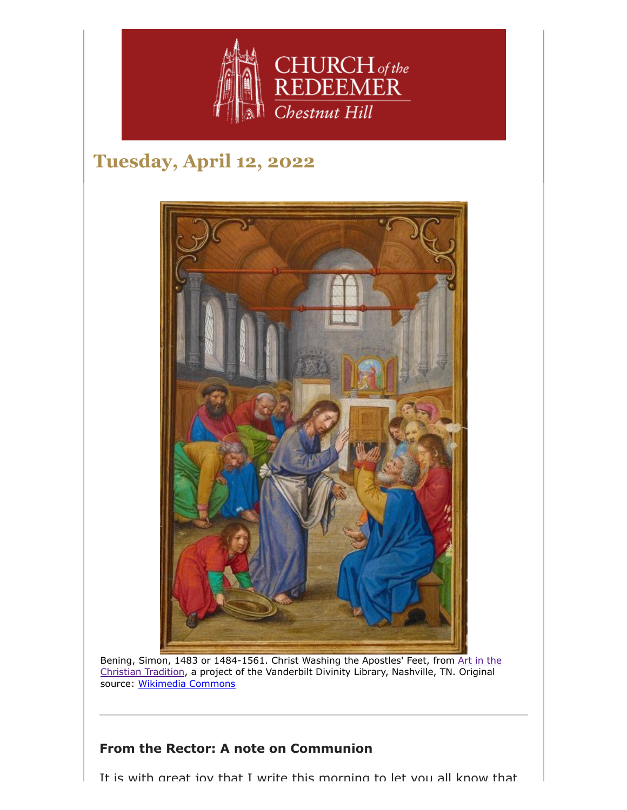

# **Tuesday, April 12, 2022**



Bening, Simon, 1483 or 1484-1561. Christ Washing the Apostles' Feet, from Art in the [Christian Tradition, a project of the Vanderbilt Divinity Library, Nashville, TN.](https://diglib.library.vanderbilt.edu/act-imagelink.pl?RC=58692) Original source: [Wikimedia Commons](https://commons.wikimedia.org/wiki/File:Simon_Bening_(Flemish_-_Christ_Washing_the_Apostles)

#### **From the Rector: A note on Communion**

It is with great joy that I write this morning to let you all know that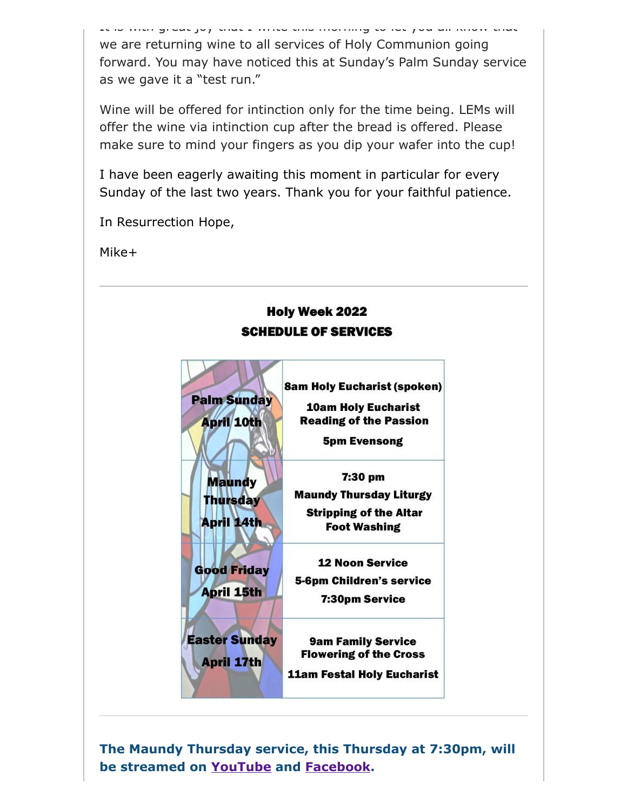It is with great joy that I write this morning to let you all know that we are returning wine to all services of Holy Communion going forward. You may have noticed this at Sunday's Palm Sunday service as we gave it a "test run."

Wine will be offered for intinction only for the time being. LEMs will offer the wine via intinction cup after the bread is offered. Please make sure to mind your fingers as you dip your wafer into the cup!

I have been eagerly awaiting this moment in particular for every Sunday of the last two years. Thank you for your faithful patience.

In Resurrection Hope,

Mike+



**The Maundy Thursday service, this Thursday at 7:30pm, will be streamed on [YouTube](https://www.youtube.com/channel/UCuF2ATr93WfFYaj4XlyKKDw) and [Facebook.](https://www.facebook.com/redeemerchestnuthill/)**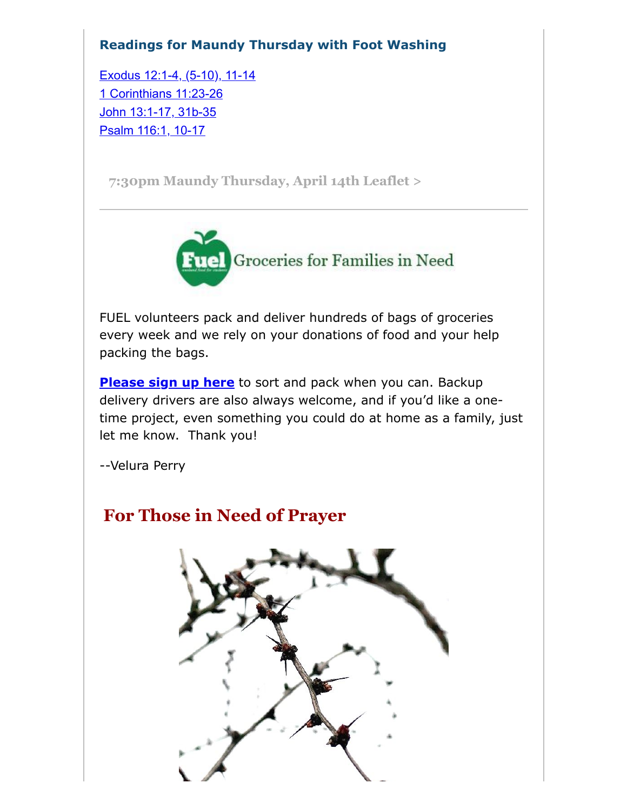### **Readings for Maundy Thursday with Foot Washing**

[Exodus 12:1-4, \(5-10\), 11-14](https://lectionarypage.net/YearABC_RCL/HolyWk/MaundyTh_RCL.html#ot1) [1 Corinthians 11:23-26](https://lectionarypage.net/YearABC_RCL/HolyWk/MaundyTh_RCL.html#nt1) [John 13:1-17, 31b-35](https://lectionarypage.net/YearABC_RCL/HolyWk/MaundyTh_RCL.html#gsp1) [Psalm 116:1, 10-17](https://lectionarypage.net/YearABC_RCL/HolyWk/MaundyTh_RCL.html#ps1)

**[7:30pm Maundy Thursday, April 14th Leaflet >](https://drive.google.com/file/d/1ggGtEAcXLfObdjPKskzgZQHMNmTtPtUa/view?usp=sharing)**



FUEL volunteers pack and deliver hundreds of bags of groceries every week and we rely on your donations of food and your help packing the bags.

**[Please sign up here](https://signup.com/go/FNGHQhR)** to sort and pack when you can. Backup delivery drivers are also always welcome, and if you'd like a onetime project, even something you could do at home as a family, just let me know. Thank you!

--Velura Perry

## **For Those in Need of Prayer**

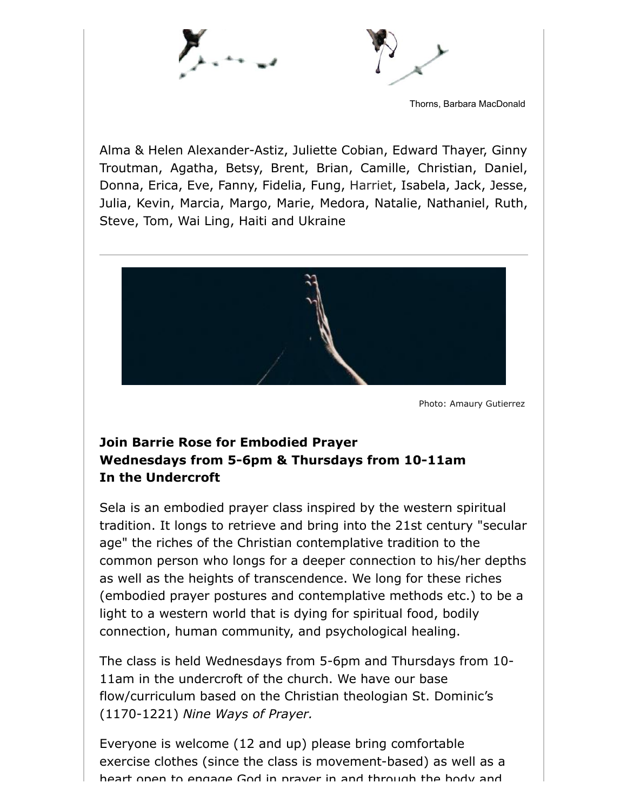



Thorns, Barbara MacDonald

Alma & Helen Alexander-Astiz, Juliette Cobian, Edward Thayer, Ginny Troutman, Agatha, Betsy, Brent, Brian, Camille, Christian, Daniel, Donna, Erica, Eve, Fanny, Fidelia, Fung, Harriet, Isabela, Jack, Jesse, Julia, Kevin, Marcia, Margo, Marie, Medora, Natalie, Nathaniel, Ruth, Steve, Tom, Wai Ling, Haiti and Ukraine



Photo: Amaury Gutierrez

### **Join Barrie Rose for Embodied Prayer Wednesdays from 5-6pm & Thursdays from 10-11am In the Undercroft**

Sela is an embodied prayer class inspired by the western spiritual tradition. It longs to retrieve and bring into the 21st century "secular age" the riches of the Christian contemplative tradition to the common person who longs for a deeper connection to his/her depths as well as the heights of transcendence. We long for these riches (embodied prayer postures and contemplative methods etc.) to be a light to a western world that is dying for spiritual food, bodily connection, human community, and psychological healing.

The class is held Wednesdays from 5-6pm and Thursdays from 10- 11am in the undercroft of the church. We have our base flow/curriculum based on the Christian theologian St. Dominic's (1170-1221) *Nine Ways of Prayer.*

Everyone is welcome (12 and up) please bring comfortable exercise clothes (since the class is movement-based) as well as a heart open to engage God in prayer in and through the body and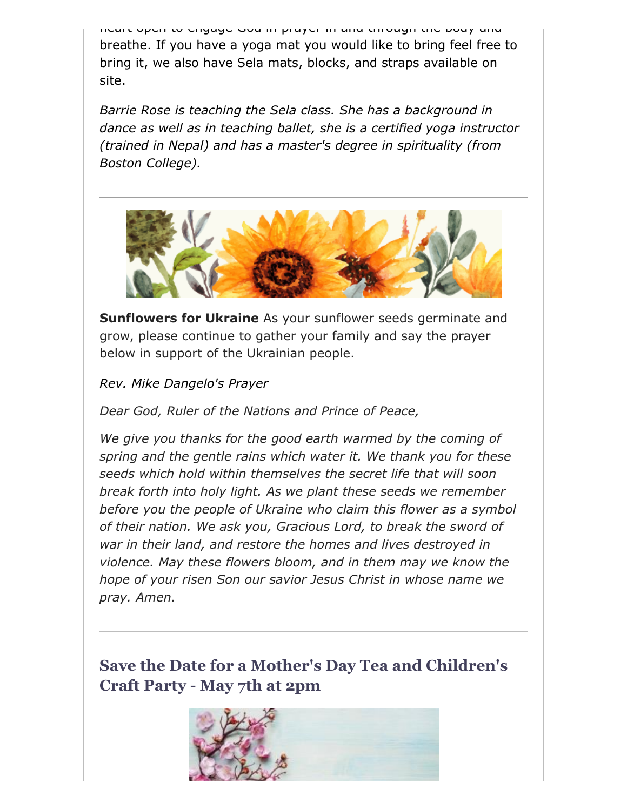heart open to engage God in prayer in and through the body and breathe. If you have a yoga mat you would like to bring feel free to bring it, we also have Sela mats, blocks, and straps available on site.

*Barrie Rose is teaching the Sela class. She has a background in dance as well as in teaching ballet, she is a certified yoga instructor (trained in Nepal) and has a master's degree in spirituality (from Boston College).*



**Sunflowers for Ukraine** As your sunflower seeds germinate and grow, please continue to gather your family and say the prayer below in support of the Ukrainian people.

*Rev. Mike Dangelo's Prayer*

*Dear God, Ruler of the Nations and Prince of Peace,*

*We give you thanks for the good earth warmed by the coming of spring and the gentle rains which water it. We thank you for these seeds which hold within themselves the secret life that will soon break forth into holy light. As we plant these seeds we remember before you the people of Ukraine who claim this flower as a symbol of their nation. We ask you, Gracious Lord, to break the sword of war in their land, and restore the homes and lives destroyed in violence. May these flowers bloom, and in them may we know the hope of your risen Son our savior Jesus Christ in whose name we pray. Amen.*

**Save the Date for a Mother's Day Tea and Children's Craft Party - May 7th at 2pm**

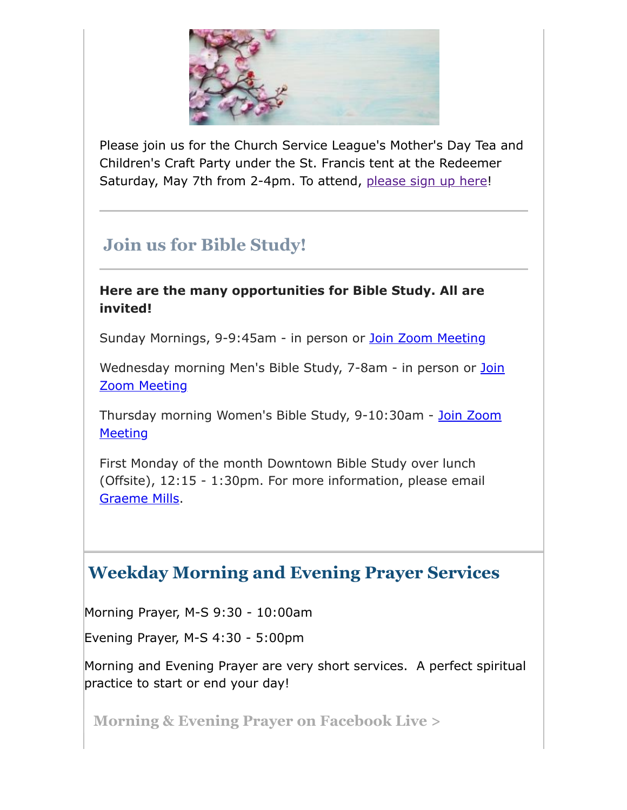

Please join us for the Church Service League's Mother's Day Tea and Children's Craft Party under the St. Francis tent at the Redeemer Saturday, May 7th from 2-4pm. To attend, [please sign up here!](https://www.signupgenius.com/go/4090C4FACAA23A4FD0-church)

# **Join us for Bible Study!**

#### **Here are the many opportunities for Bible Study. All are invited!**

Sunday Mornings, 9-9:45am - in person or [Join Zoom Meeting](https://us02web.zoom.us/j/86566228912?pwd=aGxWTU1PU3Y3TDZsVTdmbXg2UnNvZz09)

[Wednesday morning Men's Bible Study, 7-8am - in person or](https://us02web.zoom.us/j/89392200698?pwd=czIzYmlKT1JCRmkrdlBFM2lJaGdkZz09) Join Zoom Meeting

[Thursday morning Women's Bible Study, 9-10:30am - Join Zoom](https://us02web.zoom.us/j/82431832126?pwd=ZXBLQUFnL2haSEZyWll3b0R0MEpmUT09#success#success) **Meeting** 

First Monday of the month Downtown Bible Study over lunch (Offsite), 12:15 - 1:30pm. For more information, please email [Graeme Mills](mailto:gmills@cambridgeassociates.com).

## **Weekday Morning and Evening Prayer Services**

Morning Prayer, M-S 9:30 - 10:00am

Evening Prayer, M-S 4:30 - 5:00pm

Morning and Evening Prayer are very short services. A perfect spiritual practice to start or end your day!

**[Morning & Evening Prayer on Facebook Live >](https://www.facebook.com/redeemerchestnuthill/)**